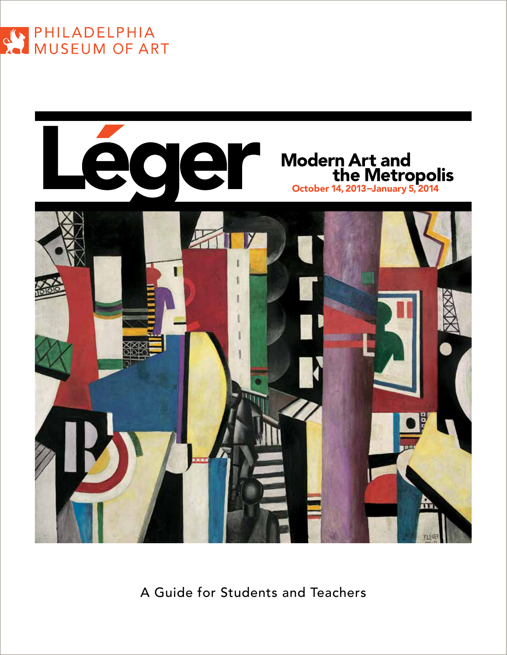



A Guide for Students and Teachers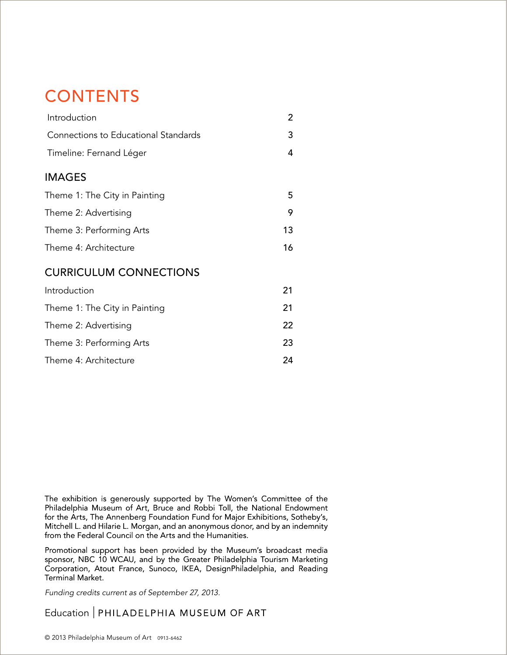# **CONTENTS**

| Introduction                         | 2  |
|--------------------------------------|----|
| Connections to Educational Standards |    |
| Timeline: Fernand Léger              | 4  |
| <b>IMAGES</b>                        |    |
| Theme 1: The City in Painting        | 5  |
| Theme 2: Advertising                 | 9  |
| Theme 3: Performing Arts             | 13 |
| Theme 4: Architecture                | 16 |
| <b>CURRICULUM CONNECTIONS</b>        |    |
| Introduction                         | 21 |
| Theme 1: The City in Painting        | 21 |
| Theme 2: Advertising                 | 22 |
| Theme 3: Performing Arts             | 23 |

Theme 4: Architecture 24

The exhibition is generously supported by The Women's Committee of the Philadelphia Museum of Art, Bruce and Robbi Toll, the National Endowment for the Arts, The Annenberg Foundation Fund for Major Exhibitions, Sotheby's, Mitchell L. and Hilarie L. Morgan, and an anonymous donor, and by an indemnity from the Federal Council on the Arts and the Humanities.

Promotional support has been provided by the Museum's broadcast media sponsor, NBC 10 WCAU, and by the Greater Philadelphia Tourism Marketing Corporation, Atout France, Sunoco, IKEA, DesignPhiladelphia, and Reading Terminal Market.

Funding credits current as of September 27, 2013.

Education | PHILADELPHIA MUSEUM OF ART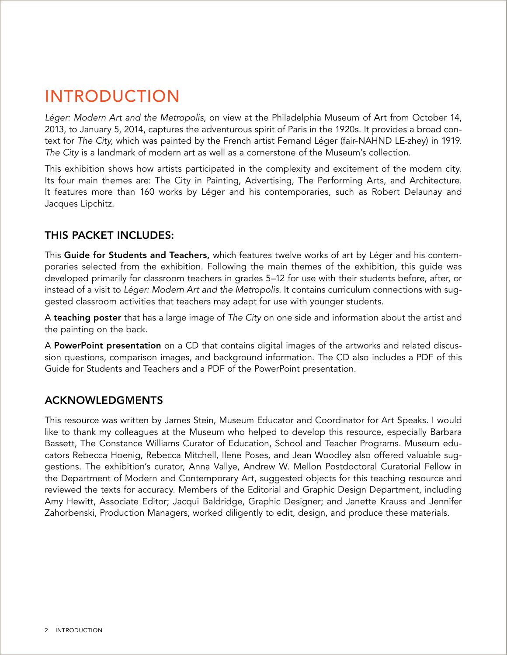# Introduction

Léger: Modern Art and the Metropolis, on view at the Philadelphia Museum of Art from October 14, 2013, to January 5, 2014, captures the adventurous spirit of Paris in the 1920s. It provides a broad context for The City, which was painted by the French artist Fernand Léger (fair-NAHND LE-zhey) in 1919. The City is a landmark of modern art as well as a cornerstone of the Museum's collection.

This exhibition shows how artists participated in the complexity and excitement of the modern city. Its four main themes are: The City in Painting, Advertising, The Performing Arts, and Architecture. It features more than 160 works by Léger and his contemporaries, such as Robert Delaunay and Jacques Lipchitz.

## This packet includes:

This Guide for Students and Teachers, which features twelve works of art by Léger and his contemporaries selected from the exhibition. Following the main themes of the exhibition, this guide was developed primarily for classroom teachers in grades 5–12 for use with their students before, after, or instead of a visit to Léger: Modern Art and the Metropolis. It contains curriculum connections with suggested classroom activities that teachers may adapt for use with younger students.

A teaching poster that has a large image of The City on one side and information about the artist and the painting on the back.

A PowerPoint presentation on a CD that contains digital images of the artworks and related discussion questions, comparison images, and background information. The CD also includes a PDF of this Guide for Students and Teachers and a PDF of the PowerPoint presentation.

## **ACKNOWLEDGMENTS**

This resource was written by James Stein, Museum Educator and Coordinator for Art Speaks. I would like to thank my colleagues at the Museum who helped to develop this resource, especially Barbara Bassett, The Constance Williams Curator of Education, School and Teacher Programs. Museum educators Rebecca Hoenig, Rebecca Mitchell, Ilene Poses, and Jean Woodley also offered valuable suggestions. The exhibition's curator, Anna Vallye, Andrew W. Mellon Postdoctoral Curatorial Fellow in the Department of Modern and Contemporary Art, suggested objects for this teaching resource and reviewed the texts for accuracy. Members of the Editorial and Graphic Design Department, including Amy Hewitt, Associate Editor; Jacqui Baldridge, Graphic Designer; and Janette Krauss and Jennifer Zahorbenski, Production Managers, worked diligently to edit, design, and produce these materials.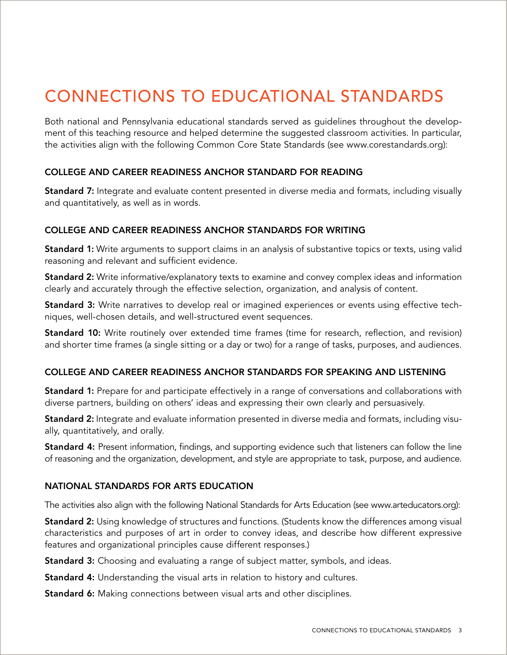# Connections to Educational Standards

Both national and Pennsylvania educational standards served as guidelines throughout the development of this teaching resource and helped determine the suggested classroom activities. In particular, the activities align with the following Common Core State Standards (see www.corestandards.org):

### COLLEGE AND CAREER READINESS ANCHOR STANDARD FOR READING

Standard 7: Integrate and evaluate content presented in diverse media and formats, including visually and quantitatively, as well as in words.

#### COLLEGE AND CAREER READINESS ANCHOR STANDARDS FOR WRITING

Standard 1: Write arguments to support claims in an analysis of substantive topics or texts, using valid reasoning and relevant and sufficient evidence.

Standard 2: Write informative/explanatory texts to examine and convey complex ideas and information clearly and accurately through the effective selection, organization, and analysis of content.

Standard 3: Write narratives to develop real or imagined experiences or events using effective techniques, well-chosen details, and well-structured event sequences.

Standard 10: Write routinely over extended time frames (time for research, reflection, and revision) and shorter time frames (a single sitting or a day or two) for a range of tasks, purposes, and audiences.

#### COLLEGE AND CAREER READINESS ANCHOR STANDARDS FOR SPEAKING AND LISTENING

Standard 1: Prepare for and participate effectively in a range of conversations and collaborations with diverse partners, building on others' ideas and expressing their own clearly and persuasively.

Standard 2: Integrate and evaluate information presented in diverse media and formats, including visually, quantitatively, and orally.

Standard 4: Present information, findings, and supporting evidence such that listeners can follow the line of reasoning and the organization, development, and style are appropriate to task, purpose, and audience.

#### NATIONAL STANDARDS FOR ARTS EDUCATION

The activities also align with the following National Standards for Arts Education (see www.arteducators.org):

Standard 2: Using knowledge of structures and functions. (Students know the differences among visual characteristics and purposes of art in order to convey ideas, and describe how different expressive features and organizational principles cause different responses.)

**Standard 3:** Choosing and evaluating a range of subject matter, symbols, and ideas.

Standard 4: Understanding the visual arts in relation to history and cultures.

**Standard 6:** Making connections between visual arts and other disciplines.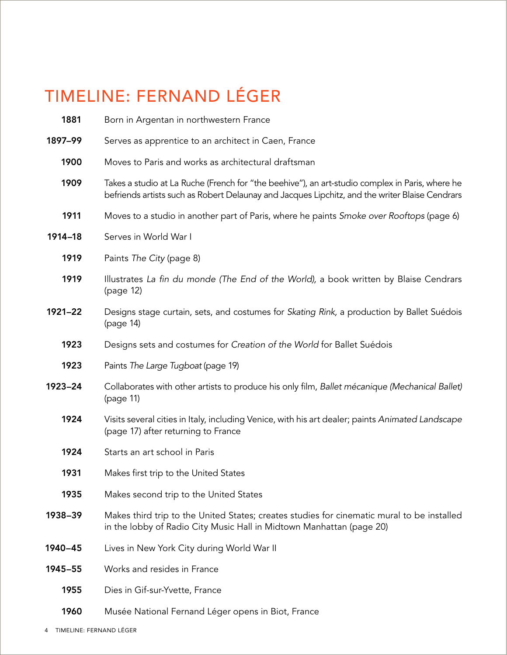# TIMELINE: FERNAND LÉGER

| 1881    | Born in Argentan in northwestern France                                                                                                                                                           |
|---------|---------------------------------------------------------------------------------------------------------------------------------------------------------------------------------------------------|
| 1897-99 | Serves as apprentice to an architect in Caen, France                                                                                                                                              |
| 1900    | Moves to Paris and works as architectural draftsman                                                                                                                                               |
| 1909    | Takes a studio at La Ruche (French for "the beehive"), an art-studio complex in Paris, where he<br>befriends artists such as Robert Delaunay and Jacques Lipchitz, and the writer Blaise Cendrars |
| 1911    | Moves to a studio in another part of Paris, where he paints Smoke over Rooftops (page 6)                                                                                                          |
| 1914-18 | Serves in World War I                                                                                                                                                                             |
| 1919    | Paints The City (page 8)                                                                                                                                                                          |
| 1919    | Illustrates La fin du monde (The End of the World), a book written by Blaise Cendrars<br>(page 12)                                                                                                |
| 1921-22 | Designs stage curtain, sets, and costumes for Skating Rink, a production by Ballet Suédois<br>(page 14)                                                                                           |
| 1923    | Designs sets and costumes for Creation of the World for Ballet Suédois                                                                                                                            |
| 1923    | Paints The Large Tugboat (page 19)                                                                                                                                                                |
| 1923-24 | Collaborates with other artists to produce his only film, Ballet mécanique (Mechanical Ballet)<br>(page 11)                                                                                       |
| 1924    | Visits several cities in Italy, including Venice, with his art dealer; paints Animated Landscape<br>(page 17) after returning to France                                                           |
| 1924    | Starts an art school in Paris                                                                                                                                                                     |
| 1931    | Makes first trip to the United States                                                                                                                                                             |
| 1935    | Makes second trip to the United States                                                                                                                                                            |
| 1938-39 | Makes third trip to the United States; creates studies for cinematic mural to be installed<br>in the lobby of Radio City Music Hall in Midtown Manhattan (page 20)                                |
| 1940-45 | Lives in New York City during World War II                                                                                                                                                        |
| 1945-55 | Works and resides in France                                                                                                                                                                       |
| 1955    | Dies in Gif-sur-Yvette, France                                                                                                                                                                    |
| 1960    | Musée National Fernand Léger opens in Biot, France                                                                                                                                                |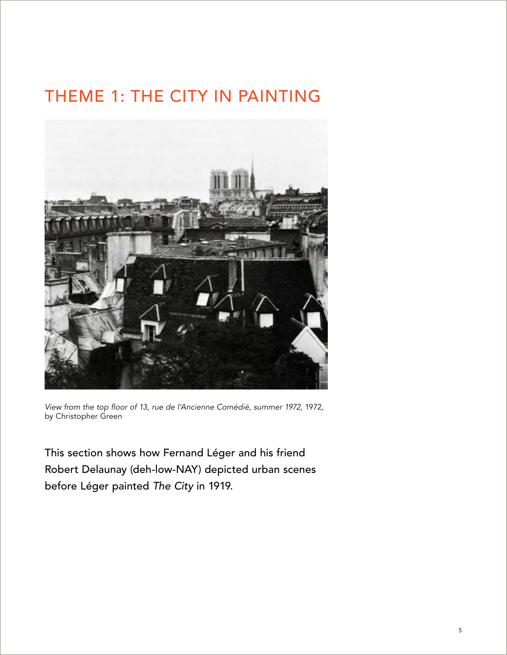# theme 1: THE CITY IN PAINTING



View from the top floor of 13, rue de l'Ancienne Comédié, summer 1972, 1972, by Christopher Green

This section shows how Fernand Léger and his friend Robert Delaunay (deh-low-NAY) depicted urban scenes before Léger painted The City in 1919.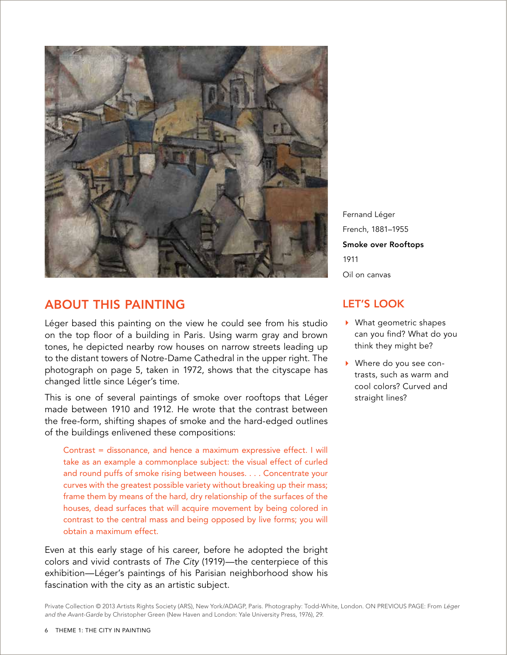

# About this Painting

Léger based this painting on the view he could see from his studio on the top floor of a building in Paris. Using warm gray and brown tones, he depicted nearby row houses on narrow streets leading up to the distant towers of Notre-Dame Cathedral in the upper right. The photograph on page 5, taken in 1972, shows that the cityscape has changed little since Léger's time.

This is one of several paintings of smoke over rooftops that Léger made between 1910 and 1912. He wrote that the contrast between the free-form, shifting shapes of smoke and the hard-edged outlines of the buildings enlivened these compositions:

Contrast = dissonance, and hence a maximum expressive effect. I will take as an example a commonplace subject: the visual effect of curled and round puffs of smoke rising between houses. . . . Concentrate your curves with the greatest possible variety without breaking up their mass; frame them by means of the hard, dry relationship of the surfaces of the houses, dead surfaces that will acquire movement by being colored in contrast to the central mass and being opposed by live forms; you will obtain a maximum effect.

Even at this early stage of his career, before he adopted the bright colors and vivid contrasts of The City (1919)—the centerpiece of this exhibition—Léger's paintings of his Parisian neighborhood show his fascination with the city as an artistic subject.

Fernand Léger French, 1881–1955 Smoke over Rooftops 1911 Oil on canvas

## let's look

- What geometric shapes can you find? What do you think they might be?
- Where do you see contrasts, such as warm and cool colors? Curved and straight lines?

Private Collection © 2013 Artists Rights Society (ARS), New York/ADAGP, Paris. Photography: Todd-White, London. ON PREVIOUS PAGE: From *Léger and the Avant-Garde* by Christopher Green (New Haven and London: Yale University Press, 1976), 29.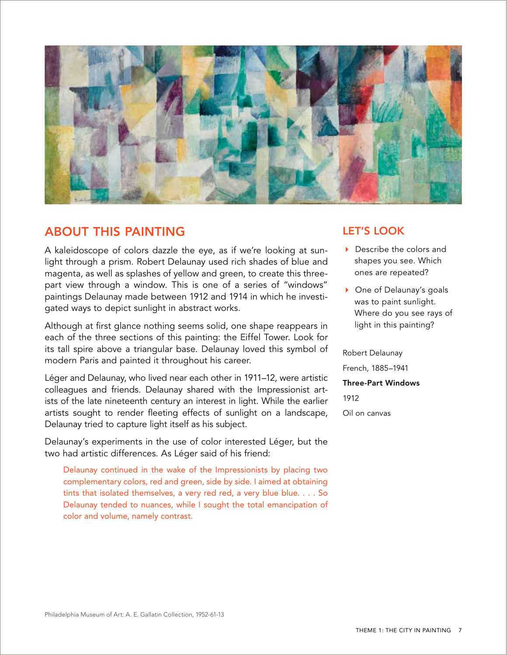

## About this Painting

A kaleidoscope of colors dazzle the eye, as if we're looking at sunlight through a prism. Robert Delaunay used rich shades of blue and magenta, as well as splashes of yellow and green, to create this threepart view through a window. This is one of a series of "windows" paintings Delaunay made between 1912 and 1914 in which he investigated ways to depict sunlight in abstract works.

Although at first glance nothing seems solid, one shape reappears in each of the three sections of this painting: the Eiffel Tower. Look for its tall spire above a triangular base. Delaunay loved this symbol of modern Paris and painted it throughout his career.

Léger and Delaunay, who lived near each other in 1911–12, were artistic colleagues and friends. Delaunay shared with the Impressionist artists of the late nineteenth century an interest in light. While the earlier artists sought to render fleeting effects of sunlight on a landscape, Delaunay tried to capture light itself as his subject.

Delaunay's experiments in the use of color interested Léger, but the two had artistic differences. As Léger said of his friend:

Delaunay continued in the wake of the Impressionists by placing two complementary colors, red and green, side by side. I aimed at obtaining tints that isolated themselves, a very red red, a very blue blue. . . . So Delaunay tended to nuances, while I sought the total emancipation of color and volume, namely contrast.

## let's look

- ▶ Describe the colors and shapes you see. Which ones are repeated?
- ▶ One of Delaunay's goals was to paint sunlight. Where do you see rays of light in this painting?

Robert Delaunay French, 1885–1941 Three-Part Windows 1912 Oil on canvas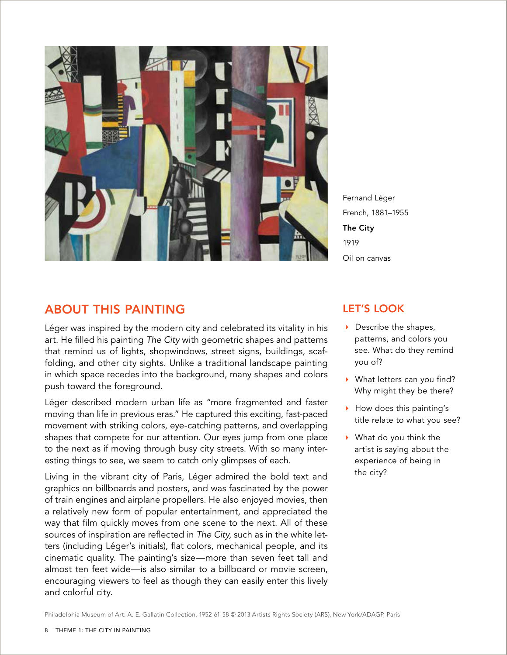

Fernand Léger French, 1881–1955 The City 1919 Oil on canvas

## About this Painting

Léger was inspired by the modern city and celebrated its vitality in his art. He filled his painting The City with geometric shapes and patterns that remind us of lights, shopwindows, street signs, buildings, scaffolding, and other city sights. Unlike a traditional landscape painting in which space recedes into the background, many shapes and colors push toward the foreground.

Léger described modern urban life as "more fragmented and faster moving than life in previous eras." He captured this exciting, fast-paced movement with striking colors, eye-catching patterns, and overlapping shapes that compete for our attention. Our eyes jump from one place to the next as if moving through busy city streets. With so many interesting things to see, we seem to catch only glimpses of each.

Living in the vibrant city of Paris, Léger admired the bold text and graphics on billboards and posters, and was fascinated by the power of train engines and airplane propellers. He also enjoyed movies, then a relatively new form of popular entertainment, and appreciated the way that film quickly moves from one scene to the next. All of these sources of inspiration are reflected in The City, such as in the white letters (including Léger's initials), flat colors, mechanical people, and its cinematic quality. The painting's size—more than seven feet tall and almost ten feet wide—is also similar to a billboard or movie screen, encouraging viewers to feel as though they can easily enter this lively and colorful city.

### let's look

- Describe the shapes, patterns, and colors you see. What do they remind you of?
- What letters can you find? Why might they be there?
- How does this painting's title relate to what you see?
- What do you think the artist is saying about the experience of being in the city?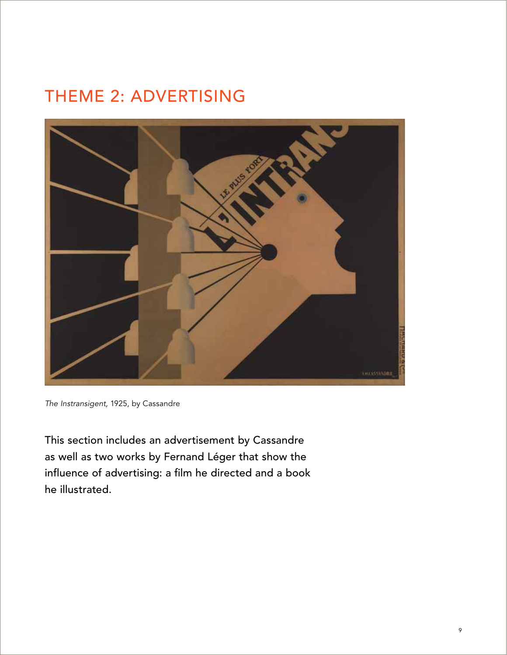# THEME 2: ADVERTISING



The Instransigent, 1925, by Cassandre

This section includes an advertisement by Cassandre as well as two works by Fernand Léger that show the influence of advertising: a film he directed and a book he illustrated.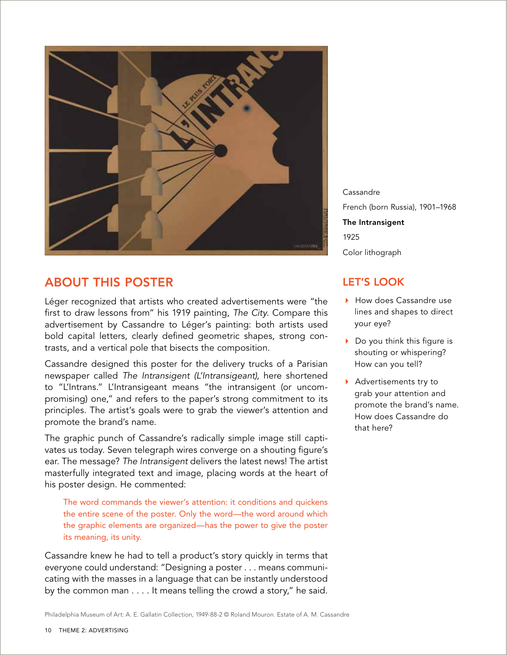

# About this poster

Léger recognized that artists who created advertisements were "the first to draw lessons from" his 1919 painting, The City. Compare this advertisement by Cassandre to Léger's painting: both artists used bold capital letters, clearly defined geometric shapes, strong contrasts, and a vertical pole that bisects the composition.

Cassandre designed this poster for the delivery trucks of a Parisian newspaper called The Intransigent (L'Intransigeant), here shortened to "L'Intrans." L'Intransigeant means "the intransigent (or uncompromising) one," and refers to the paper's strong commitment to its principles. The artist's goals were to grab the viewer's attention and promote the brand's name.

The graphic punch of Cassandre's radically simple image still captivates us today. Seven telegraph wires converge on a shouting figure's ear. The message? The Intransigent delivers the latest news! The artist masterfully integrated text and image, placing words at the heart of his poster design. He commented:

The word commands the viewer's attention: it conditions and quickens the entire scene of the poster. Only the word—the word around which the graphic elements are organized—has the power to give the poster its meaning, its unity.

Cassandre knew he had to tell a product's story quickly in terms that everyone could understand: "Designing a poster . . . means communicating with the masses in a language that can be instantly understood by the common man . . . . It means telling the crowd a story," he said.

Cassandre French (born Russia), 1901–1968 The Intransigent 1925 Color lithograph

# let's look

- How does Cassandre use lines and shapes to direct your eye?
- Do you think this figure is shouting or whispering? How can you tell?
- Advertisements try to grab your attention and promote the brand's name. How does Cassandre do that here?

Philadelphia Museum of Art: A. E. Gallatin Collection, 1949-88-2 © Roland Mouron. Estate of A. M. Cassandre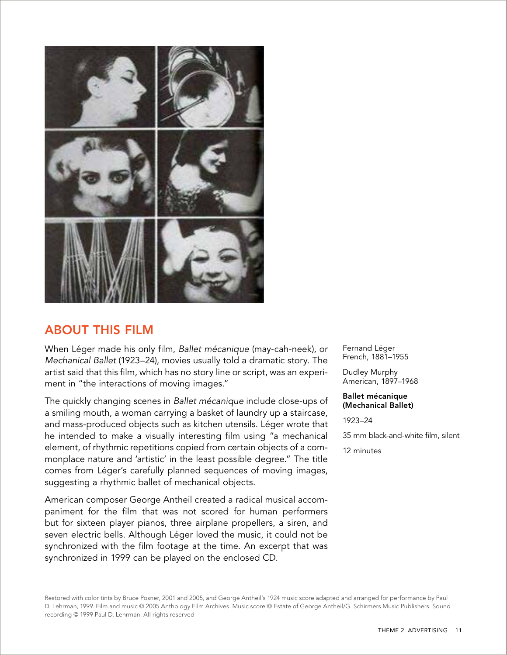

# About this film

When Léger made his only film, Ballet mécanique (may-cah-neek), or Mechanical Ballet (1923–24), movies usually told a dramatic story. The artist said that this film, which has no story line or script, was an experiment in "the interactions of moving images."

The quickly changing scenes in Ballet mécanique include close-ups of a smiling mouth, a woman carrying a basket of laundry up a staircase, and mass-produced objects such as kitchen utensils. Léger wrote that he intended to make a visually interesting film using "a mechanical element, of rhythmic repetitions copied from certain objects of a commonplace nature and 'artistic' in the least possible degree." The title comes from Léger's carefully planned sequences of moving images, suggesting a rhythmic ballet of mechanical objects.

American composer George Antheil created a radical musical accompaniment for the film that was not scored for human performers but for sixteen player pianos, three airplane propellers, a siren, and seven electric bells. Although Léger loved the music, it could not be synchronized with the film footage at the time. An excerpt that was synchronized in 1999 can be played on the enclosed CD.

Fernand Léger French, 1881–1955

Dudley Murphy American, 1897–1968

Ballet mécanique (Mechanical Ballet)

1923–24

35 mm black-and-white film, silent

12 minutes

Restored with color tints by Bruce Posner, 2001 and 2005, and George Antheil's 1924 music score adapted and arranged for performance by Paul D. Lehrman, 1999. Film and music © 2005 Anthology Film Archives. Music score © Estate of George Antheil/G. Schirmers Music Publishers. Sound recording © 1999 Paul D. Lehrman. All rights reserved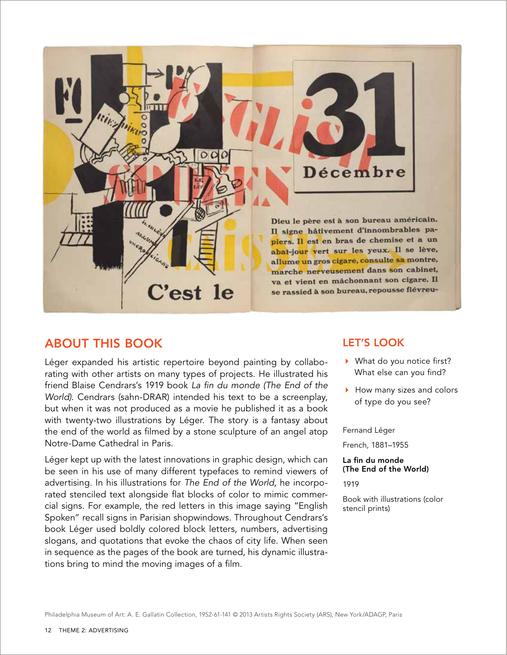

## About this book

Léger expanded his artistic repertoire beyond painting by collaborating with other artists on many types of projects. He illustrated his friend Blaise Cendrars's 1919 book La fin du monde (The End of the World). Cendrars (sahn-DRAR) intended his text to be a screenplay, but when it was not produced as a movie he published it as a book with twenty-two illustrations by Léger. The story is a fantasy about the end of the world as filmed by a stone sculpture of an angel atop Notre-Dame Cathedral in Paris.

Léger kept up with the latest innovations in graphic design, which can be seen in his use of many different typefaces to remind viewers of advertising. In his illustrations for The End of the World, he incorporated stenciled text alongside flat blocks of color to mimic commercial signs. For example, the red letters in this image saying "English Spoken" recall signs in Parisian shopwindows. Throughout Cendrars's book Léger used boldly colored block letters, numbers, advertising slogans, and quotations that evoke the chaos of city life. When seen in sequence as the pages of the book are turned, his dynamic illustrations bring to mind the moving images of a film.

### let's look

- ▶ What do you notice first? What else can you find?
- How many sizes and colors of type do you see?

#### Fernand Léger

French, 1881–1955

## La fin du monde (The End of the World)

1919

Book with illustrations (color stencil prints)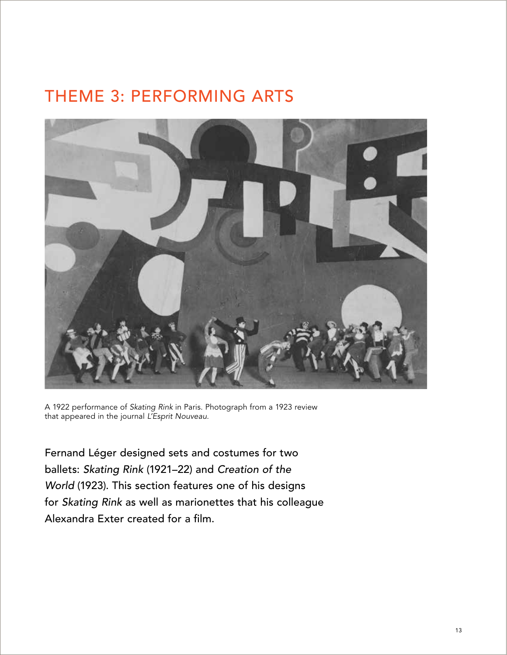# theme 3: performing arts



A 1922 performance of Skating Rink in Paris. Photograph from a 1923 review that appeared in the journal L'Esprit Nouveau.

Fernand Léger designed sets and costumes for two ballets: Skating Rink (1921–22) and Creation of the World (1923). This section features one of his designs for Skating Rink as well as marionettes that his colleague Alexandra Exter created for a film.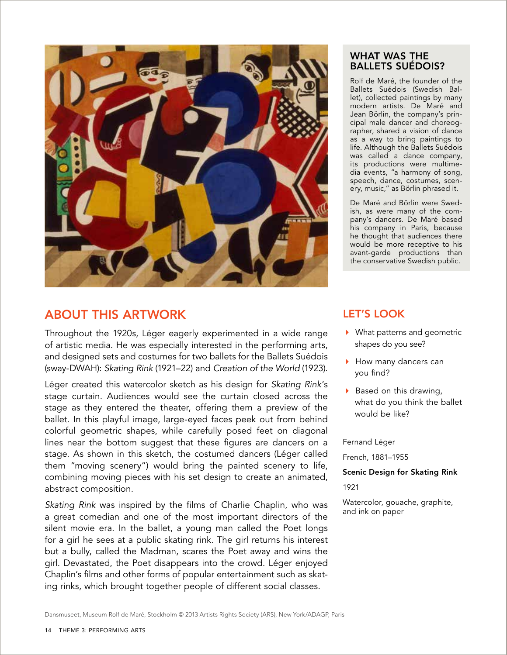

# About this artwork

Throughout the 1920s, Léger eagerly experimented in a wide range of artistic media. He was especially interested in the performing arts, and designed sets and costumes for two ballets for the Ballets Suédois (sway-DWAH): Skating Rink (1921–22) and Creation of the World (1923).

Léger created this watercolor sketch as his design for Skating Rink's stage curtain. Audiences would see the curtain closed across the stage as they entered the theater, offering them a preview of the ballet. In this playful image, large-eyed faces peek out from behind colorful geometric shapes, while carefully posed feet on diagonal lines near the bottom suggest that these figures are dancers on a stage. As shown in this sketch, the costumed dancers (Léger called them "moving scenery") would bring the painted scenery to life, combining moving pieces with his set design to create an animated, abstract composition.

Skating Rink was inspired by the films of Charlie Chaplin, who was a great comedian and one of the most important directors of the silent movie era. In the ballet, a young man called the Poet longs for a girl he sees at a public skating rink. The girl returns his interest but a bully, called the Madman, scares the Poet away and wins the girl. Devastated, the Poet disappears into the crowd. Léger enjoyed Chaplin's films and other forms of popular entertainment such as skating rinks, which brought together people of different social classes.

### What was the Ballets suédois?

Rolf de Maré, the founder of the Ballets Suédois (Swedish Ballet), collected paintings by many modern artists. De Maré and Jean Börlin, the company's principal male dancer and choreographer, shared a vision of dance as a way to bring paintings to life. Although the Ballets Suédois was called a dance company, its productions were multimedia events, "a harmony of song, speech, dance, costumes, scenery, music," as Börlin phrased it.

De Maré and Börlin were Swedish, as were many of the company's dancers. De Maré based his company in Paris, because he thought that audiences there would be more receptive to his avant-garde productions than the conservative Swedish public.

# let's look

- ▶ What patterns and geometric shapes do you see?
- How many dancers can you find?
- $\triangleright$  Based on this drawing, what do you think the ballet would be like?

Fernand Léger

French, 1881–1955

Scenic Design for Skating Rink

1921

Watercolor, gouache, graphite, and ink on paper

Dansmuseet, Museum Rolf de Maré, Stockholm © 2013 Artists Rights Society (ARS), New York/ADAGP, Paris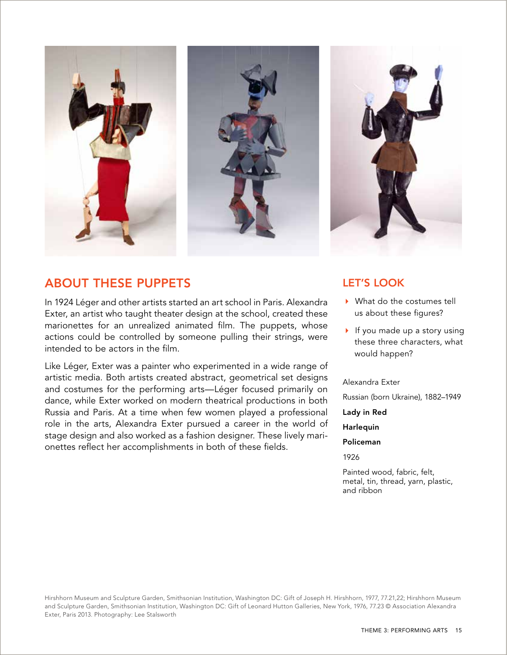

# About these puppets

In 1924 Léger and other artists started an art school in Paris. Alexandra Exter, an artist who taught theater design at the school, created these marionettes for an unrealized animated film. The puppets, whose actions could be controlled by someone pulling their strings, were intended to be actors in the film.

Like Léger, Exter was a painter who experimented in a wide range of artistic media. Both artists created abstract, geometrical set designs and costumes for the performing arts—Léger focused primarily on dance, while Exter worked on modern theatrical productions in both Russia and Paris. At a time when few women played a professional role in the arts, Alexandra Exter pursued a career in the world of stage design and also worked as a fashion designer. These lively marionettes reflect her accomplishments in both of these fields.

## let's look

- ▶ What do the costumes tell us about these figures?
- If you made up a story using these three characters, what would happen?

#### Alexandra Exter

Russian (born Ukraine), 1882–1949

Lady in Red

Harlequin

#### Policeman

1926

Painted wood, fabric, felt, metal, tin, thread, yarn, plastic, and ribbon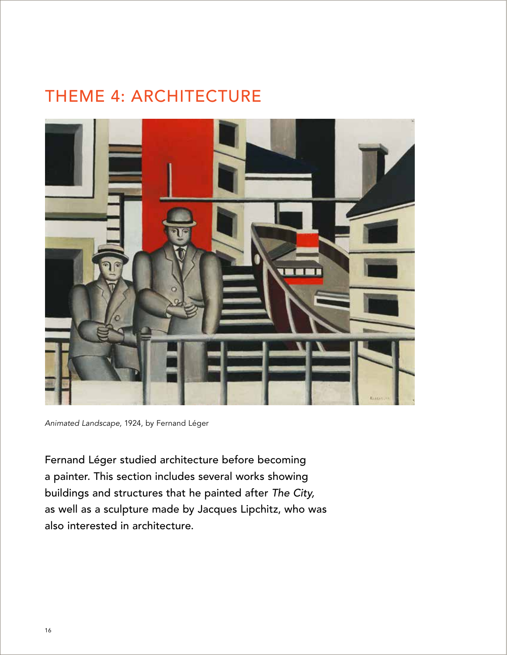# THEME 4: ARCHITECTURE



Animated Landscape, 1924, by Fernand Léger

Fernand Léger studied architecture before becoming a painter. This section includes several works showing buildings and structures that he painted after The City, as well as a sculpture made by Jacques Lipchitz, who was also interested in architecture.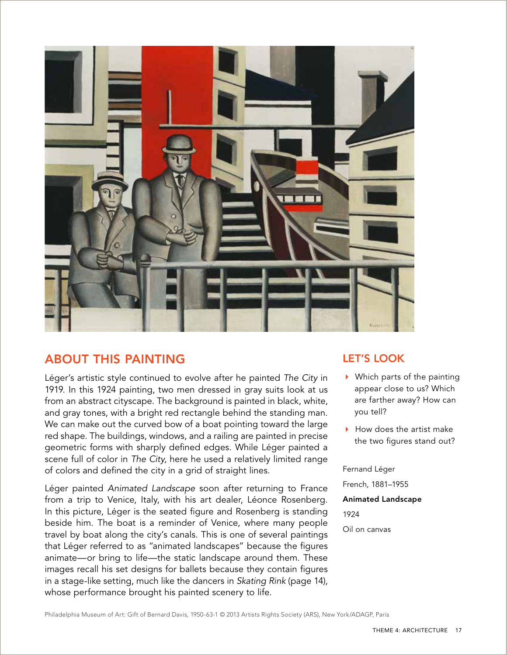

# About this painting

Léger's artistic style continued to evolve after he painted The City in 1919. In this 1924 painting, two men dressed in gray suits look at us from an abstract cityscape. The background is painted in black, white, and gray tones, with a bright red rectangle behind the standing man. We can make out the curved bow of a boat pointing toward the large red shape. The buildings, windows, and a railing are painted in precise geometric forms with sharply defined edges. While Léger painted a scene full of color in The City, here he used a relatively limited range of colors and defined the city in a grid of straight lines.

Léger painted Animated Landscape soon after returning to France from a trip to Venice, Italy, with his art dealer, Léonce Rosenberg. In this picture, Léger is the seated figure and Rosenberg is standing beside him. The boat is a reminder of Venice, where many people travel by boat along the city's canals. This is one of several paintings that Léger referred to as "animated landscapes" because the figures animate—or bring to life—the static landscape around them. These images recall his set designs for ballets because they contain figures in a stage-like setting, much like the dancers in Skating Rink (page 14), whose performance brought his painted scenery to life.

## let's look

- Which parts of the painting appear close to us? Which are farther away? How can you tell?
- $\blacktriangleright$  How does the artist make the two figures stand out?

Fernand Léger

French, 1881–1955

Animated Landscape

1924

Oil on canvas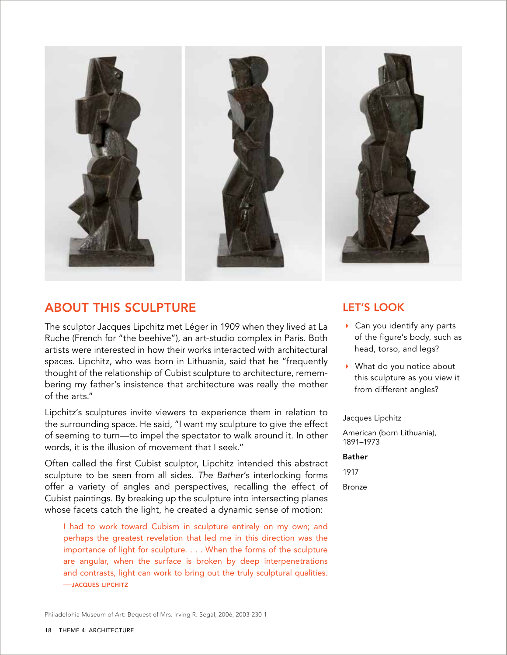

# About this sculpture

The sculptor Jacques Lipchitz met Léger in 1909 when they lived at La Ruche (French for "the beehive"), an art-studio complex in Paris. Both artists were interested in how their works interacted with architectural spaces. Lipchitz, who was born in Lithuania, said that he "frequently thought of the relationship of Cubist sculpture to architecture, remembering my father's insistence that architecture was really the mother of the arts."

Lipchitz's sculptures invite viewers to experience them in relation to the surrounding space. He said, "I want my sculpture to give the effect of seeming to turn—to impel the spectator to walk around it. In other words, it is the illusion of movement that I seek."

Often called the first Cubist sculptor, Lipchitz intended this abstract sculpture to be seen from all sides. The Bather's interlocking forms offer a variety of angles and perspectives, recalling the effect of Cubist paintings. By breaking up the sculpture into intersecting planes whose facets catch the light, he created a dynamic sense of motion:

I had to work toward Cubism in sculpture entirely on my own; and perhaps the greatest revelation that led me in this direction was the importance of light for sculpture. . . . When the forms of the sculpture are angular, when the surface is broken by deep interpenetrations and contrasts, light can work to bring out the truly sculptural qualities. —jacques lipchitz

## let's look

- Can you identify any parts of the figure's body, such as head, torso, and legs?
- ▶ What do you notice about this sculpture as you view it from different angles?

Jacques Lipchitz

American (born Lithuania), 1891–1973

#### Bather

1917

Bronze

Philadelphia Museum of Art: Bequest of Mrs. Irving R. Segal, 2006, 2003-230-1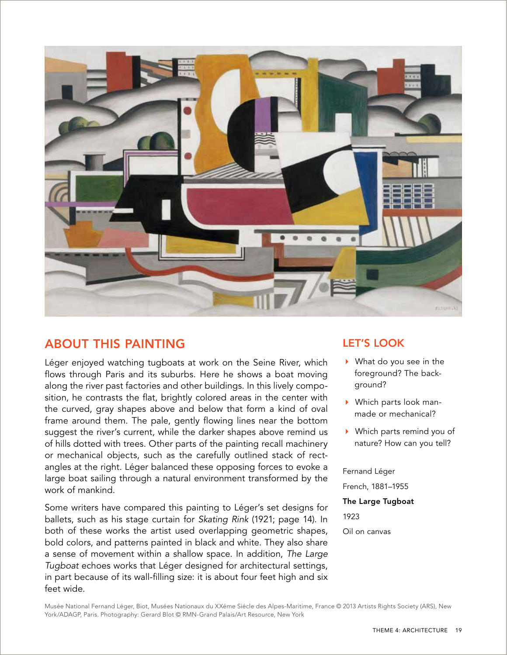

# About this painting

Léger enjoyed watching tugboats at work on the Seine River, which flows through Paris and its suburbs. Here he shows a boat moving along the river past factories and other buildings. In this lively composition, he contrasts the flat, brightly colored areas in the center with the curved, gray shapes above and below that form a kind of oval frame around them. The pale, gently flowing lines near the bottom suggest the river's current, while the darker shapes above remind us of hills dotted with trees. Other parts of the painting recall machinery or mechanical objects, such as the carefully outlined stack of rectangles at the right. Léger balanced these opposing forces to evoke a large boat sailing through a natural environment transformed by the work of mankind.

Some writers have compared this painting to Léger's set designs for ballets, such as his stage curtain for Skating Rink (1921; page 14). In both of these works the artist used overlapping geometric shapes, bold colors, and patterns painted in black and white. They also share a sense of movement within a shallow space. In addition, The Large Tugboat echoes works that Léger designed for architectural settings, in part because of its wall-filling size: it is about four feet high and six feet wide.

## let's look

- ▶ What do you see in the foreground? The background?
- Which parts look manmade or mechanical?
- Which parts remind you of nature? How can you tell?

Fernand Léger

French, 1881–1955

#### The Large Tugboat

1923

Oil on canvas

Musée National Fernand Léger, Biot, Musées Nationaux du XXéme Siécle des Alpes-Maritime, France © 2013 Artists Rights Society (ARS), New York/ADAGP, Paris. Photography: Gerard Blot © RMN-Grand Palais/Art Resource, New York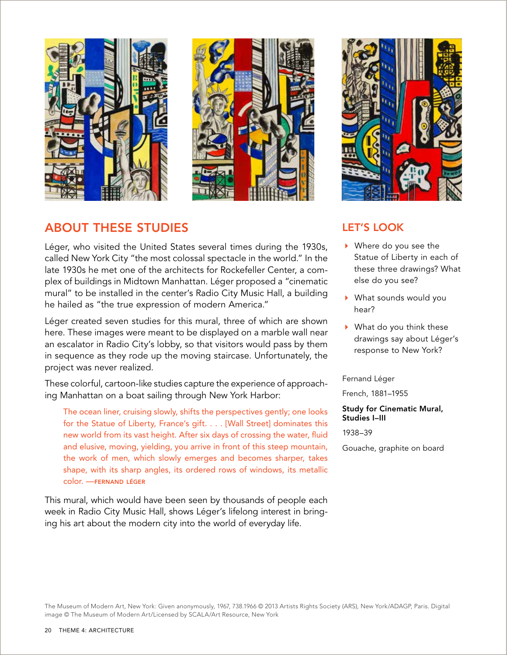



# About these Studies

Léger, who visited the United States several times during the 1930s, called New York City "the most colossal spectacle in the world." In the late 1930s he met one of the architects for Rockefeller Center, a complex of buildings in Midtown Manhattan. Léger proposed a "cinematic mural" to be installed in the center's Radio City Music Hall, a building he hailed as "the true expression of modern America."

Léger created seven studies for this mural, three of which are shown here. These images were meant to be displayed on a marble wall near an escalator in Radio City's lobby, so that visitors would pass by them in sequence as they rode up the moving staircase. Unfortunately, the project was never realized.

These colorful, cartoon-like studies capture the experience of approaching Manhattan on a boat sailing through New York Harbor:

The ocean liner, cruising slowly, shifts the perspectives gently; one looks for the Statue of Liberty, France's gift. . . . [Wall Street] dominates this new world from its vast height. After six days of crossing the water, fluid and elusive, moving, yielding, you arrive in front of this steep mountain, the work of men, which slowly emerges and becomes sharper, takes shape, with its sharp angles, its ordered rows of windows, its metallic color. —fernand léger

This mural, which would have been seen by thousands of people each week in Radio City Music Hall, shows Léger's lifelong interest in bringing his art about the modern city into the world of everyday life.



## let's look

- Where do you see the Statue of Liberty in each of these three drawings? What else do you see?
- What sounds would you hear?
- What do you think these drawings say about Léger's response to New York?

Fernand Léger

French, 1881–1955

Study for Cinematic Mural, Studies I–III

1938–39

Gouache, graphite on board

The Museum of Modern Art, New York: Given anonymously, 1967, 738.1966 © 2013 Artists Rights Society (ARS), New York/ADAGP, Paris. Digital image © The Museum of Modern Art/Licensed by SCALA/Art Resource, New York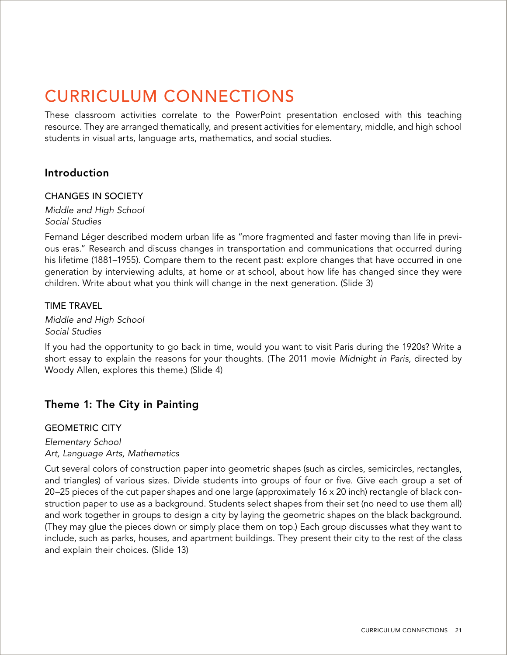# CURRICULUM CONNECTIONS

These classroom activities correlate to the PowerPoint presentation enclosed with this teaching resource. They are arranged thematically, and present activities for elementary, middle, and high school students in visual arts, language arts, mathematics, and social studies.

### Introduction

#### CHANGES IN SOCIETY

Middle and High School Social Studies

Fernand Léger described modern urban life as "more fragmented and faster moving than life in previous eras." Research and discuss changes in transportation and communications that occurred during his lifetime (1881–1955). Compare them to the recent past: explore changes that have occurred in one generation by interviewing adults, at home or at school, about how life has changed since they were children. Write about what you think will change in the next generation. (Slide 3)

#### TIME TRAVEL

Middle and High School Social Studies

If you had the opportunity to go back in time, would you want to visit Paris during the 1920s? Write a short essay to explain the reasons for your thoughts. (The 2011 movie Midnight in Paris, directed by Woody Allen, explores this theme.) (Slide 4)

## Theme 1: The City in Painting

#### GEOMETRIC CITY

Elementary School Art, Language Arts, Mathematics

Cut several colors of construction paper into geometric shapes (such as circles, semicircles, rectangles, and triangles) of various sizes. Divide students into groups of four or five. Give each group a set of 20–25 pieces of the cut paper shapes and one large (approximately 16 x 20 inch) rectangle of black construction paper to use as a background. Students select shapes from their set (no need to use them all) and work together in groups to design a city by laying the geometric shapes on the black background. (They may glue the pieces down or simply place them on top.) Each group discusses what they want to include, such as parks, houses, and apartment buildings. They present their city to the rest of the class and explain their choices. (Slide 13)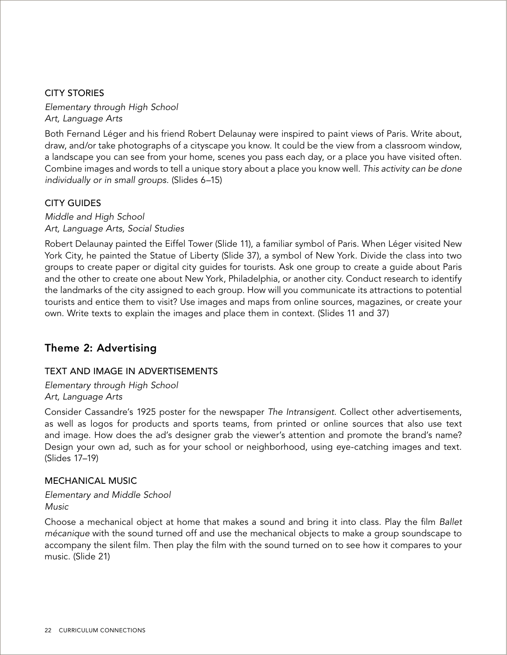### CITY STORIES

Elementary through High School Art, Language Arts

Both Fernand Léger and his friend Robert Delaunay were inspired to paint views of Paris. Write about, draw, and/or take photographs of a cityscape you know. It could be the view from a classroom window, a landscape you can see from your home, scenes you pass each day, or a place you have visited often. Combine images and words to tell a unique story about a place you know well. This activity can be done individually or in small groups. (Slides 6–15)

### CITY GUIDES

Middle and High School Art, Language Arts, Social Studies

Robert Delaunay painted the Eiffel Tower (Slide 11), a familiar symbol of Paris. When Léger visited New York City, he painted the Statue of Liberty (Slide 37), a symbol of New York. Divide the class into two groups to create paper or digital city guides for tourists. Ask one group to create a guide about Paris and the other to create one about New York, Philadelphia, or another city. Conduct research to identify the landmarks of the city assigned to each group. How will you communicate its attractions to potential tourists and entice them to visit? Use images and maps from online sources, magazines, or create your own. Write texts to explain the images and place them in context. (Slides 11 and 37)

### Theme 2: Advertising

### TEXT AND IMAGE IN ADVERTISEMENTS

Elementary through High School Art, Language Arts

Consider Cassandre's 1925 poster for the newspaper The Intransigent. Collect other advertisements, as well as logos for products and sports teams, from printed or online sources that also use text and image. How does the ad's designer grab the viewer's attention and promote the brand's name? Design your own ad, such as for your school or neighborhood, using eye-catching images and text. (Slides 17–19)

#### MECHANICAL MUSIC

Elementary and Middle School **Music** 

Choose a mechanical object at home that makes a sound and bring it into class. Play the film Ballet mécanique with the sound turned off and use the mechanical objects to make a group soundscape to accompany the silent film. Then play the film with the sound turned on to see how it compares to your music. (Slide 21)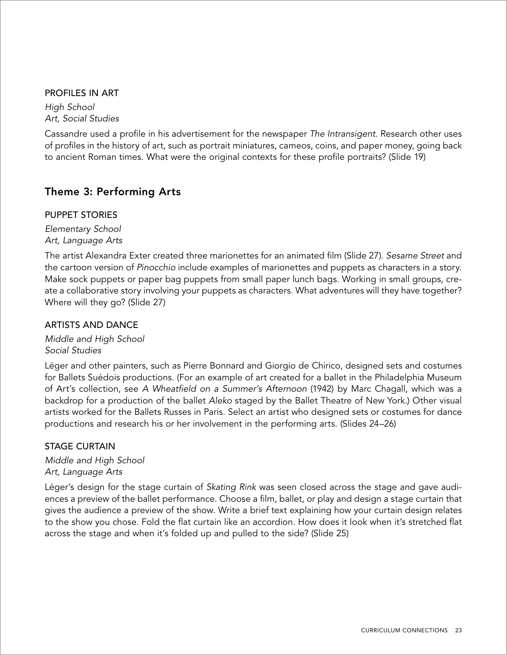#### PROFILES IN ART

High School Art, Social Studies

Cassandre used a profile in his advertisement for the newspaper The Intransigent. Research other uses of profiles in the history of art, such as portrait miniatures, cameos, coins, and paper money, going back to ancient Roman times. What were the original contexts for these profile portraits? (Slide 19)

## Theme 3: Performing Arts

#### PUPPET STORIES

Elementary School Art, Language Arts

The artist Alexandra Exter created three marionettes for an animated film (Slide 27). Sesame Street and the cartoon version of Pinocchio include examples of marionettes and puppets as characters in a story. Make sock puppets or paper bag puppets from small paper lunch bags. Working in small groups, create a collaborative story involving your puppets as characters. What adventures will they have together? Where will they go? (Slide 27)

### ARTISTS AND DANCE

Middle and High School Social Studies

Léger and other painters, such as Pierre Bonnard and Giorgio de Chirico, designed sets and costumes for Ballets Suédois productions. (For an example of art created for a ballet in the Philadelphia Museum of Art's collection, see A Wheatfield on a Summer's Afternoon (1942) by Marc Chagall, which was a backdrop for a production of the ballet Aleko staged by the Ballet Theatre of New York.) Other visual artists worked for the Ballets Russes in Paris. Select an artist who designed sets or costumes for dance productions and research his or her involvement in the performing arts. (Slides 24–26)

### STAGE CURTAIN

Middle and High School Art, Language Arts

Léger's design for the stage curtain of Skating Rink was seen closed across the stage and gave audiences a preview of the ballet performance. Choose a film, ballet, or play and design a stage curtain that gives the audience a preview of the show. Write a brief text explaining how your curtain design relates to the show you chose. Fold the flat curtain like an accordion. How does it look when it's stretched flat across the stage and when it's folded up and pulled to the side? (Slide 25)